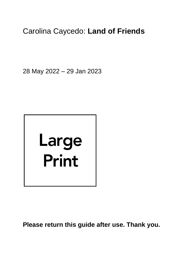# Carolina Caycedo: **Land of Friends**

28 May 2022 – 29 Jan 2023



**Please return this guide after use. Thank you.**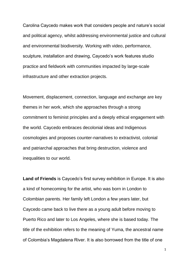Carolina Caycedo makes work that considers people and nature's social and political agency, whilst addressing environmental justice and cultural and environmental biodiversity. Working with video, performance, sculpture, installation and drawing, Caycedo's work features studio practice and fieldwork with communities impacted by large-scale infrastructure and other extraction projects.

Movement, displacement, connection, language and exchange are key themes in her work, which she approaches through a strong commitment to feminist principles and a deeply ethical engagement with the world. Caycedo embraces decolonial ideas and Indigenous cosmologies and proposes counter-narratives to extractivist, colonial and patriarchal approaches that bring destruction, violence and inequalities to our world.

**Land of Friends** is Caycedo's first survey exhibition in Europe. It is also a kind of homecoming for the artist, who was born in London to Colombian parents. Her family left London a few years later, but Caycedo came back to live there as a young adult before moving to Puerto Rico and later to Los Angeles, where she is based today. The title of the exhibition refers to the meaning of Yuma, the ancestral name of Colombia's Magdalena River. It is also borrowed from the title of one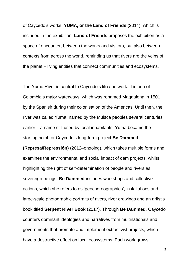of Caycedo's works, **YUMA, or the Land of Friends** (2014), which is included in the exhibition. **Land of Friends** proposes the exhibition as a space of encounter, between the works and visitors, but also between contexts from across the world, reminding us that rivers are the veins of the planet – living entities that connect communities and ecosystems.

The Yuma River is central to Caycedo's life and work. It is one of Colombia's major waterways, which was renamed Magdalena in 1501 by the Spanish during their colonisation of the Americas. Until then, the river was called Yuma, named by the Muisca peoples several centuries earlier – a name still used by local inhabitants. Yuma became the starting point for Caycedo's long-term project **Be Dammed** 

**(Represa/Repressión)** (2012–ongoing), which takes multiple forms and examines the environmental and social impact of dam projects, whilst highlighting the right of self-determination of people and rivers as sovereign beings. **Be Dammed** includes workshops and collective actions, which she refers to as 'geochoreographies', installations and large-scale photographic portraits of rivers, river drawings and an artist's book titled **Serpent River Book** (2017). Through **Be Dammed**, Caycedo counters dominant ideologies and narratives from multinationals and governments that promote and implement extractivist projects, which have a destructive effect on local ecosystems. Each work grows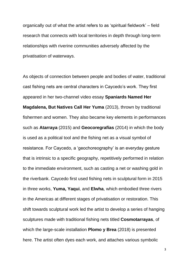organically out of what the artist refers to as 'spiritual fieldwork' – field research that connects with local territories in depth through long-term relationships with riverine communities adversely affected by the privatisation of waterways.

As objects of connection between people and bodies of water, traditional cast fishing nets are central characters in Caycedo's work. They first appeared in her two-channel video essay **Spaniards Named Her Magdalena, But Natives Call Her Yuma** (2013), thrown by traditional fishermen and women. They also became key elements in performances such as **Atarraya** (2015) and **Geocoregrafías** (2014) in which the body is used as a political tool and the fishing net as a visual symbol of resistance. For Caycedo, a 'geochoreography' is an everyday gesture that is intrinsic to a specific geography, repetitively performed in relation to the immediate environment, such as casting a net or washing gold in the riverbank. Caycedo first used fishing nets in sculptural form in 2015 in three works, **Yuma, Yaqui**, and **Elwha**, which embodied three rivers in the Americas at different stages of privatisation or restoration. This shift towards sculptural work led the artist to develop a series of hanging sculptures made with traditional fishing nets titled **Cosmotarrayas**, of which the large-scale installation **Plomo y Brea** (2018) is presented here. The artist often dyes each work, and attaches various symbolic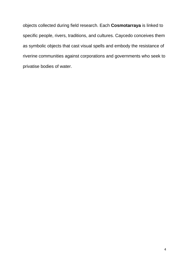objects collected during field research. Each **Cosmotarraya** is linked to specific people, rivers, traditions, and cultures. Caycedo conceives them as symbolic objects that cast visual spells and embody the resistance of riverine communities against corporations and governments who seek to privatise bodies of water.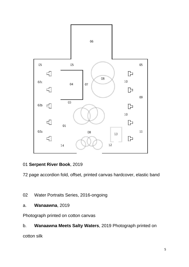

# 01 **Serpent River Book**, 2019

72 page accordion fold, offset, printed canvas hardcover, elastic band

- 02 Water Portraits Series, 2016-ongoing
- a. **Wanaawna**, 2019

Photograph printed on cotton canvas

# b. **Wanaawna Meets Salty Waters**, 2019 Photograph printed on

cotton silk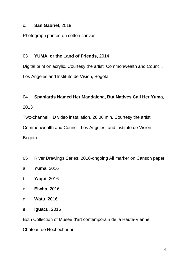#### c. **San Gabriel**, 2019

Photograph printed on cotton canvas

#### 03 **YUMA, or the Land of Friends,** 2014

Digital print on acrylic. Courtesy the artist, Commonwealth and Council, Los Angeles and lnstituto de Vision, Bogota

#### 04 **Spaniards Named Her Magdalena, But Natives Call Her Yuma,**

2013

Two-channel HD video installation, 26:06 min. Courtesy the artist,

Commonwealth and Council, Los Angeles, and lnstituto de Vision,

Bogota

- 05 River Drawings Series, 2016-ongoing All marker on Canson paper
- a. **Yuma**, 2016
- b. **Yaqui**, 2016
- c. **Elwha**, 2016
- d. **Watu**, 2016
- e. **lguacu**, 2016

Both Collection of Musee d'art contemporain de la Haute-Vienne

Chateau de Rochechouart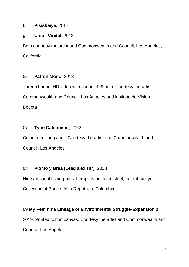#### f. **Pisisbaiya**, 2017

### g. **Ume - Vindel**, 2018

Both courtesy the artist and Commonwealth and Council, Los Angeles, **California** 

### 06 **Patron Mono**, 2018

Three-channel HD video with sound, 4:32 min. Courtesy the artist, Commonwealth and Council, Los Angeles and lnstituto de Vision, Bogota

# 07 **Tyne Catchment**, 2022

Color pencil on paper. Courtesy the artist and Commonwealth and Council, Los Angeles

# 08 **Plomo y Brea (Lead and Tar),** 2018

Nine artisanal fishing nets, hemp, nylon, lead, steel, tar, fabric dye. Collection of Banco de la Republica, Colombia

# 09 **My Feminine Lineage of Environmental Struggle-Expansion 1**,

2019. Printed cotton canvas. Courtesy the artist and Commonwealth and Council, Los Angeles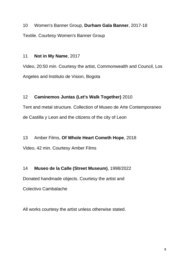10 Women's Banner Group, **Durham Gala Banner**, 2017-18 Textile. Courtesy Women's Banner Group

#### 11 **Not in My Name**, 2017

Video, 20:50 min. Courtesy the artist, Commonwealth and Council, Los Angeles and lnstituto de Vision, Bogota

# 12 **Caminemos Juntas (Let's Walk Together)** 2010

Tent and metal structure. Collection of Museo de Arte Contemporaneo de Castilla y Leon and the citizens of the city of Leon

13 Amber Films, **Of Whole Heart Cometh Hope**, 2018 Video, 42 min. Courtesy Amber Films

14 **Museo de la Calle (Street Museum)**, 1998/2022

Donated handmade objects. Courtesy the artist and

Colectivo Cambalache

All works courtesy the artist unless otherwise stated.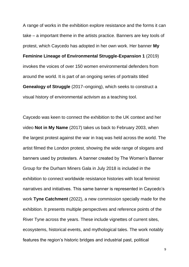A range of works in the exhibition explore resistance and the forms it can take – a important theme in the artists practice. Banners are key tools of protest, which Caycedo has adopted in her own work. Her banner **My Feminine Lineage of Environmental Struggle-Expansion 1** (2019) invokes the voices of over 150 women environmental defenders from around the world. It is part of an ongoing series of portraits titled **Genealogy of Struggle** (2017–ongoing), which seeks to construct a visual history of environmental activism as a teaching tool.

Caycedo was keen to connect the exhibition to the UK context and her video **Not in My Name** (2017) takes us back to February 2003, when the largest protest against the war in Iraq was held across the world. The artist filmed the London protest, showing the wide range of slogans and banners used by protesters. A banner created by The Women's Banner Group for the Durham Miners Gala in July 2018 is included in the exhibition to connect worldwide resistance histories with local feminist narratives and initiatives. This same banner is represented in Caycedo's work **Tyne Catchment** (2022), a new commission specially made for the exhibition. It presents multiple perspectives and reference points of the River Tyne across the years. These include vignettes of current sites, ecosystems, historical events, and mythological tales. The work notably features the region's historic bridges and industrial past, political